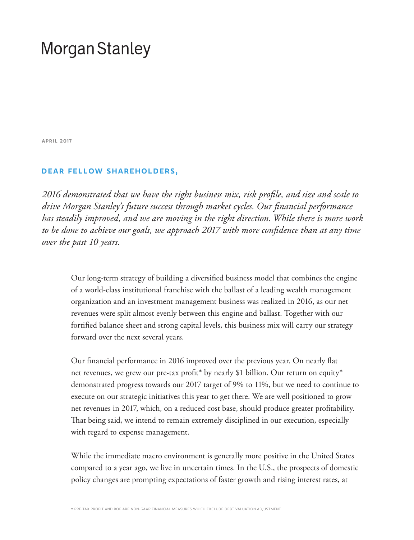# **Morgan Stanley**

april 2017

# dear fellow shareholders,

*2016 demonstrated that we have the right business mix, risk profile, and size and scale to drive Morgan Stanley's future success through market cycles. Our financial performance has steadily improved, and we are moving in the right direction. While there is more work to be done to achieve our goals, we approach 2017 with more confidence than at any time over the past 10 years.*

Our long-term strategy of building a diversified business model that combines the engine of a world-class institutional franchise with the ballast of a leading wealth management organization and an investment management business was realized in 2016, as our net revenues were split almost evenly between this engine and ballast. Together with our fortified balance sheet and strong capital levels, this business mix will carry our strategy forward over the next several years.

Our financial performance in 2016 improved over the previous year. On nearly flat net revenues, we grew our pre-tax profit<sup>\*</sup> by nearly \$1 billion. Our return on equity<sup>\*</sup> demonstrated progress towards our 2017 target of 9% to 11%, but we need to continue to execute on our strategic initiatives this year to get there. We are well positioned to grow net revenues in 2017, which, on a reduced cost base, should produce greater profitability. That being said, we intend to remain extremely disciplined in our execution, especially with regard to expense management.

While the immediate macro environment is generally more positive in the United States compared to a year ago, we live in uncertain times. In the U.S., the prospects of domestic policy changes are prompting expectations of faster growth and rising interest rates, at

\* pre-tax profit and roe are non-gaap financial measures which exclude debt valuation adjustment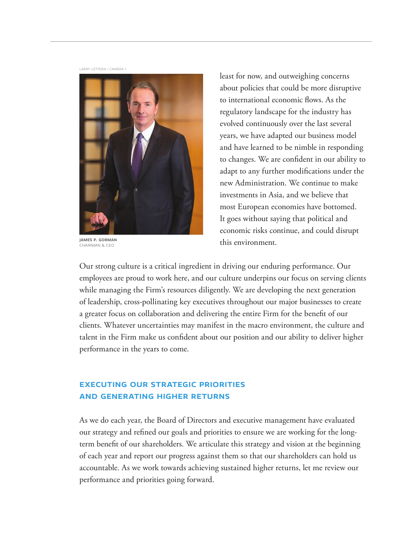larry lettera / camera 1



james p. gorman chairman & ceo

least for now, and outweighing concerns about policies that could be more disruptive to international economic flows. As the regulatory landscape for the industry has evolved continuously over the last several years, we have adapted our business model and have learned to be nimble in responding to changes. We are confident in our ability to adapt to any further modifications under the new Administration. We continue to make investments in Asia, and we believe that most European economies have bottomed. It goes without saying that political and economic risks continue, and could disrupt this environment.

Our strong culture is a critical ingredient in driving our enduring performance. Our employees are proud to work here, and our culture underpins our focus on serving clients while managing the Firm's resources diligently. We are developing the next generation of leadership, cross-pollinating key executives throughout our major businesses to create a greater focus on collaboration and delivering the entire Firm for the benefit of our clients. Whatever uncertainties may manifest in the macro environment, the culture and talent in the Firm make us confident about our position and our ability to deliver higher performance in the years to come.

# executing our strategic priorities and generating higher returns

As we do each year, the Board of Directors and executive management have evaluated our strategy and refined our goals and priorities to ensure we are working for the longterm benefit of our shareholders. We articulate this strategy and vision at the beginning of each year and report our progress against them so that our shareholders can hold us accountable. As we work towards achieving sustained higher returns, let me review our performance and priorities going forward.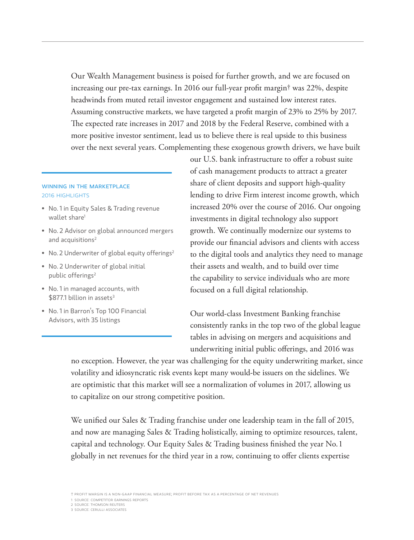Our Wealth Management business is poised for further growth, and we are focused on increasing our pre-tax earnings. In 2016 our full-year profit margin† was 22%, despite headwinds from muted retail investor engagement and sustained low interest rates. Assuming constructive markets, we have targeted a profit margin of 23% to 25% by 2017. The expected rate increases in 2017 and 2018 by the Federal Reserve, combined with a more positive investor sentiment, lead us to believe there is real upside to this business over the next several years. Complementing these exogenous growth drivers, we have built

## winning in the marketplace 2016 highlights

- No. 1 in Equity Sales & Trading revenue wallet share<sup>1</sup>
- No. 2 Advisor on global announced mergers and acquisitions<sup>2</sup>
- No. 2 Underwriter of global equity offerings<sup>2</sup>
- No. 2 Underwriter of global initial public offerings<sup>2</sup>
- No. 1 in managed accounts, with \$8771 billion in assets<sup>3</sup>
- No. 1 in Barron's Top 100 Financial Advisors, with 35 listings

our U.S. bank infrastructure to offer a robust suite of cash management products to attract a greater share of client deposits and support high-quality lending to drive Firm interest income growth, which increased 20% over the course of 2016. Our ongoing investments in digital technology also support growth. We continually modernize our systems to provide our financial advisors and clients with access to the digital tools and analytics they need to manage their assets and wealth, and to build over time the capability to service individuals who are more focused on a full digital relationship.

Our world-class Investment Banking franchise consistently ranks in the top two of the global league tables in advising on mergers and acquisitions and underwriting initial public offerings, and 2016 was

no exception. However, the year was challenging for the equity underwriting market, since volatility and idiosyncratic risk events kept many would-be issuers on the sidelines. We are optimistic that this market will see a normalization of volumes in 2017, allowing us to capitalize on our strong competitive position.

We unified our Sales & Trading franchise under one leadership team in the fall of 2015, and now are managing Sales & Trading holistically, aiming to optimize resources, talent, capital and technology. Our Equity Sales & Trading business finished the year No. 1 globally in net revenues for the third year in a row, continuing to offer clients expertise

† profit margin is a non-gaap financial measure; profit before tax as a percentage of net revenues

1 source: competitor earnings reports

<sup>2</sup> source: thomson reuters

<sup>3</sup> source: cerulli associates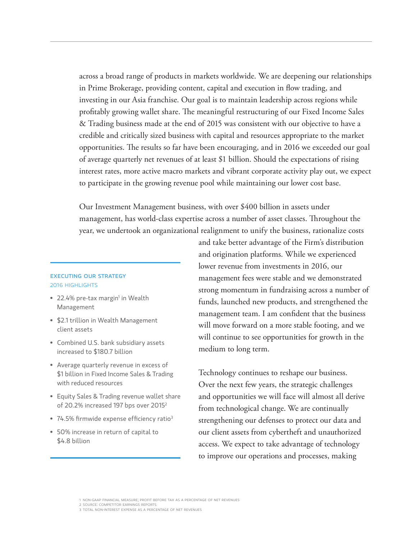across a broad range of products in markets worldwide. We are deepening our relationships in Prime Brokerage, providing content, capital and execution in flow trading, and investing in our Asia franchise. Our goal is to maintain leadership across regions while profitably growing wallet share. The meaningful restructuring of our Fixed Income Sales & Trading business made at the end of 2015 was consistent with our objective to have a credible and critically sized business with capital and resources appropriate to the market opportunities. The results so far have been encouraging, and in 2016 we exceeded our goal of average quarterly net revenues of at least \$1 billion. Should the expectations of rising interest rates, more active macro markets and vibrant corporate activity play out, we expect to participate in the growing revenue pool while maintaining our lower cost base.

Our Investment Management business, with over \$400 billion in assets under management, has world-class expertise across a number of asset classes. Throughout the year, we undertook an organizational realignment to unify the business, rationalize costs

### executing our strategy 2016 highlights

- 22.4% pre-tax margin<sup>1</sup> in Wealth Management
- \$2.1 trillion in Wealth Management client assets
- Combined U.S. bank subsidiary assets increased to \$180.7 billion
- Average quarterly revenue in excess of \$1 billion in Fixed Income Sales & Trading with reduced resources
- Equity Sales & Trading revenue wallet share of 20.2% increased 197 bps over 20152
- 74.5% firmwide expense efficiency ratio<sup>3</sup>
- 50% increase in return of capital to \$4.8 billion

and take better advantage of the Firm's distribution and origination platforms. While we experienced lower revenue from investments in 2016, our management fees were stable and we demonstrated strong momentum in fundraising across a number of funds, launched new products, and strengthened the management team. I am confident that the business will move forward on a more stable footing, and we will continue to see opportunities for growth in the medium to long term.

Technology continues to reshape our business. Over the next few years, the strategic challenges and opportunities we will face will almost all derive from technological change. We are continually strengthening our defenses to protect our data and our client assets from cybertheft and unauthorized access. We expect to take advantage of technology to improve our operations and processes, making

<sup>1</sup> non-gaap financial measure; profit before tax as a percentage of net revenues 2 source: competitor earnings reports

<sup>3</sup> total non-interest expense as a percentage of net revenues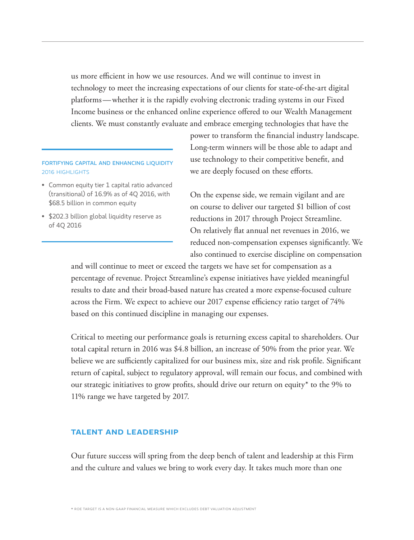us more efficient in how we use resources. And we will continue to invest in technology to meet the increasing expectations of our clients for state-of-the-art digital platforms—whether it is the rapidly evolving electronic trading systems in our Fixed Income business or the enhanced online experience offered to our Wealth Management clients. We must constantly evaluate and embrace emerging technologies that have the

# fortifying capital and enhancing liquidity 2016 highlights

- Common equity tier 1 capital ratio advanced (transitional) of 16.9% as of 4Q 2016, with \$68.5 billion in common equity
- \$202.3 billion global liquidity reserve as of 4Q 2016

power to transform the financial industry landscape. Long-term winners will be those able to adapt and use technology to their competitive benefit, and we are deeply focused on these efforts.

On the expense side, we remain vigilant and are on course to deliver our targeted \$1 billion of cost reductions in 2017 through Project Streamline. On relatively flat annual net revenues in 2016, we reduced non-compensation expenses significantly. We also continued to exercise discipline on compensation

and will continue to meet or exceed the targets we have set for compensation as a percentage of revenue. Project Streamline's expense initiatives have yielded meaningful results to date and their broad-based nature has created a more expense-focused culture across the Firm. We expect to achieve our 2017 expense efficiency ratio target of 74% based on this continued discipline in managing our expenses.

Critical to meeting our performance goals is returning excess capital to shareholders. Our total capital return in 2016 was \$4.8 billion, an increase of 50% from the prior year. We believe we are sufficiently capitalized for our business mix, size and risk profile. Significant return of capital, subject to regulatory approval, will remain our focus, and combined with our strategic initiatives to grow profits, should drive our return on equity\* to the 9% to 11% range we have targeted by 2017.

# talent and leadership

Our future success will spring from the deep bench of talent and leadership at this Firm and the culture and values we bring to work every day. It takes much more than one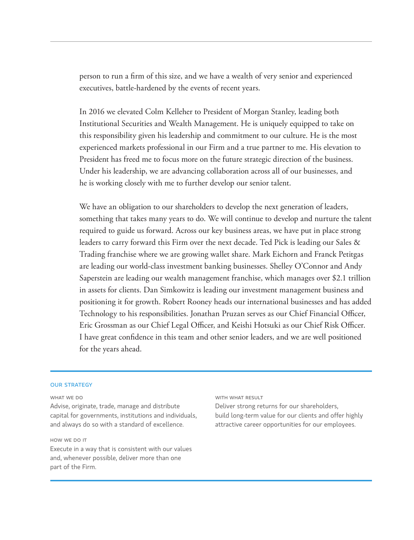person to run a firm of this size, and we have a wealth of very senior and experienced executives, battle-hardened by the events of recent years.

In 2016 we elevated Colm Kelleher to President of Morgan Stanley, leading both Institutional Securities and Wealth Management. He is uniquely equipped to take on this responsibility given his leadership and commitment to our culture. He is the most experienced markets professional in our Firm and a true partner to me. His elevation to President has freed me to focus more on the future strategic direction of the business. Under his leadership, we are advancing collaboration across all of our businesses, and he is working closely with me to further develop our senior talent.

We have an obligation to our shareholders to develop the next generation of leaders, something that takes many years to do. We will continue to develop and nurture the talent required to guide us forward. Across our key business areas, we have put in place strong leaders to carry forward this Firm over the next decade. Ted Pick is leading our Sales & Trading franchise where we are growing wallet share. Mark Eichorn and Franck Petitgas are leading our world-class investment banking businesses. Shelley O'Connor and Andy Saperstein are leading our wealth management franchise, which manages over \$2.1 trillion in assets for clients. Dan Simkowitz is leading our investment management business and positioning it for growth. Robert Rooney heads our international businesses and has added Technology to his responsibilities. Jonathan Pruzan serves as our Chief Financial Officer, Eric Grossman as our Chief Legal Officer, and Keishi Hotsuki as our Chief Risk Officer. I have great confidence in this team and other senior leaders, and we are well positioned for the years ahead.

#### **OUR STRATEGY**

WHAT WE DO

Advise, originate, trade, manage and distribute capital for governments, institutions and individuals, and always do so with a standard of excellence.

#### how we do it

Execute in a way that is consistent with our values and, whenever possible, deliver more than one part of the Firm.

#### WITH WHAT RESULT

Deliver strong returns for our shareholders, build long-term value for our clients and offer highly attractive career opportunities for our employees.